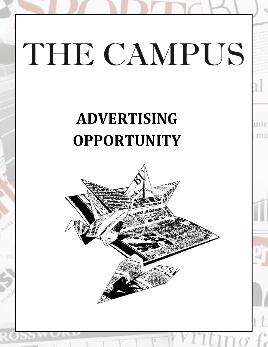# THE CAMPUS

## **ADVERTISING OPPORTUNITY**

ma

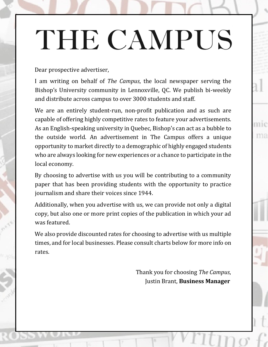## THE CAMPUS

#### Dear prospective advertiser,

I am writing on behalf of *The Campus*, the local newspaper serving the Bishop's University community in Lennoxville, QC. We publish bi-weekly and distribute across campus to over 3000 students and staff.

We are an entirely student-run, non-profit publication and as such are capable of offering highly competitive rates to feature your advertisements. As an English-speaking university in Quebec, Bishop's can act as a bubble to the outside world. An advertisement in The Campus offers a unique opportunity to market directly to a demographic of highly engaged students who are always looking for new experiences or a chance to participate in the local economy.

By choosing to advertise with us you will be contributing to a community paper that has been providing students with the opportunity to practice journalism and share their voices since 1944.

Additionally, when you advertise with us, we can provide not only a digital copy, but also one or more print copies of the publication in which your ad was featured.

We also provide discounted rates for choosing to advertise with us multiple times, and for local businesses. Please consult charts below for more info on rates.

> Thank you for choosing *The Campus*, Justin Brant, **Business Manager**

mic

ma